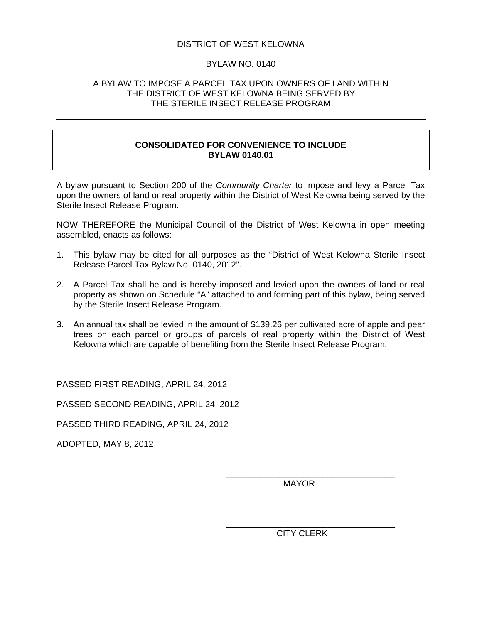## DISTRICT OF WEST KELOWNA

#### BYLAW NO. 0140

#### A BYLAW TO IMPOSE A PARCEL TAX UPON OWNERS OF LAND WITHIN THE DISTRICT OF WEST KELOWNA BEING SERVED BY THE STERILE INSECT RELEASE PROGRAM

## **CONSOLIDATED FOR CONVENIENCE TO INCLUDE BYLAW 0140.01**

A bylaw pursuant to Section 200 of the *Community Charter* to impose and levy a Parcel Tax upon the owners of land or real property within the District of West Kelowna being served by the Sterile Insect Release Program.

NOW THEREFORE the Municipal Council of the District of West Kelowna in open meeting assembled, enacts as follows:

- 1. This bylaw may be cited for all purposes as the "District of West Kelowna Sterile Insect Release Parcel Tax Bylaw No. 0140, 2012".
- 2. A Parcel Tax shall be and is hereby imposed and levied upon the owners of land or real property as shown on Schedule "A" attached to and forming part of this bylaw, being served by the Sterile Insect Release Program.
- 3. An annual tax shall be levied in the amount of \$139.26 per cultivated acre of apple and pear trees on each parcel or groups of parcels of real property within the District of West Kelowna which are capable of benefiting from the Sterile Insect Release Program.

 $\overline{\phantom{a}}$  , which is a set of the contract of the contract of the contract of the contract of the contract of the contract of the contract of the contract of the contract of the contract of the contract of the contract

 $\overline{\phantom{a}}$  , which is a set of the contract of the contract of the contract of the contract of the contract of the contract of the contract of the contract of the contract of the contract of the contract of the contract

PASSED FIRST READING, APRIL 24, 2012

PASSED SECOND READING, APRIL 24, 2012

PASSED THIRD READING, APRIL 24, 2012

ADOPTED, MAY 8, 2012

MAYOR

CITY CLERK